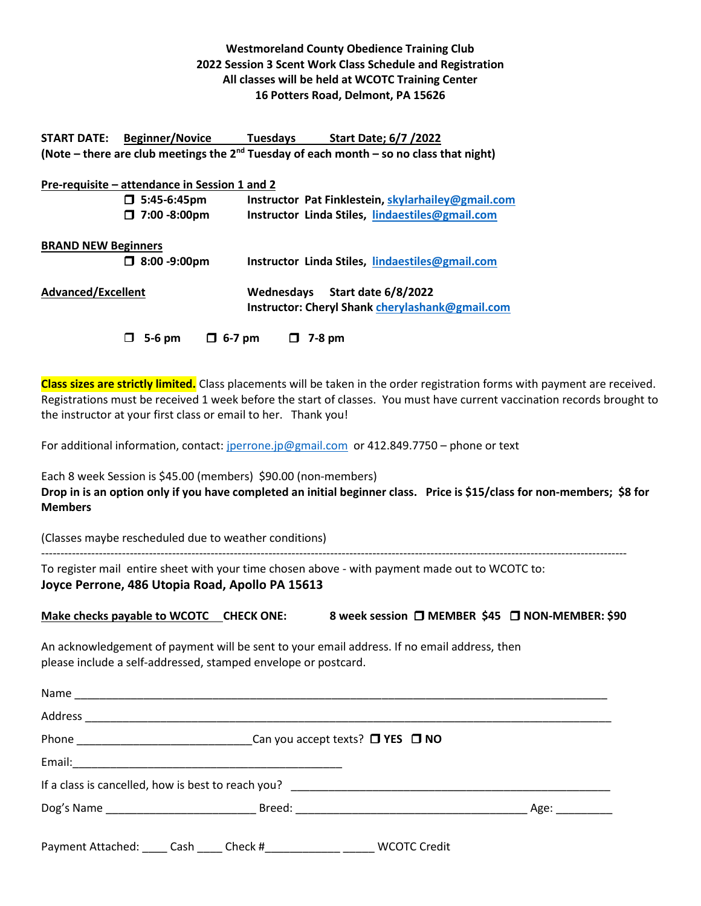## **Westmoreland County Obedience Training Club 2022 Session 3 Scent Work Class Schedule and Registration All classes will be held at WCOTC Training Center 16 Potters Road, Delmont, PA 15626**

**START DATE: Beginner/Novice Tuesdays Start Date; 6/7 /2022 (Note – there are club meetings the 2nd Tuesday of each month – so no class that night)** 

## **Pre-requisite – attendance in Session 1 and 2 5:45-6:45pm Instructor Pat Finklestein[, skylarhailey@gmail.com](mailto:skylarhailey@gmail.com) 7:00 -8:00pm Instructor Linda Stiles, [lindaestiles@gmail.com](mailto:lindaestiles@gmail.com) BRAND NEW Beginners 8:00 -9:00pm Instructor Linda Stiles, [lindaestiles@gmail.com](mailto:lindaestiles@gmail.com) Advanced/Excellent Wednesdays Start date 6/8/2022 Instructor: Cheryl Shank [cherylashank@gmail.com](mailto:cherylashank@gmail.com)**

 $\Box$  5-6 pm  $\Box$  6-7 pm  $\Box$  7-8 pm

**Class sizes are strictly limited.** Class placements will be taken in the order registration forms with payment are received. Registrations must be received 1 week before the start of classes. You must have current vaccination records brought to the instructor at your first class or email to her. Thank you!

For additional information, contact: [jperrone.jp@gmail.com](mailto:jperrone.jp@gmail.com) or 412.849.7750 – phone or text

Each 8 week Session is \$45.00 (members) \$90.00 (non-members) **Drop in is an option only if you have completed an initial beginner class. Price is \$15/class for non-members; \$8 for Members**

(Classes maybe rescheduled due to weather conditions)

To register mail entire sheet with your time chosen above - with payment made out to WCOTC to: **Joyce Perrone, 486 Utopia Road, Apollo PA 15613** 

**Make checks payable to WCOTC** CHECK ONE: 8 week session □ MEMBER \$45 □ NON-MEMBER: \$90

--------------------------------------------------------------------------------------------------------------------------------------------------------

An acknowledgement of payment will be sent to your email address. If no email address, then please include a self-addressed, stamped envelope or postcard.

| Payment Attached: _____ Cash _____ Check #_____________ ______ WCOTC Credit |  |
|-----------------------------------------------------------------------------|--|